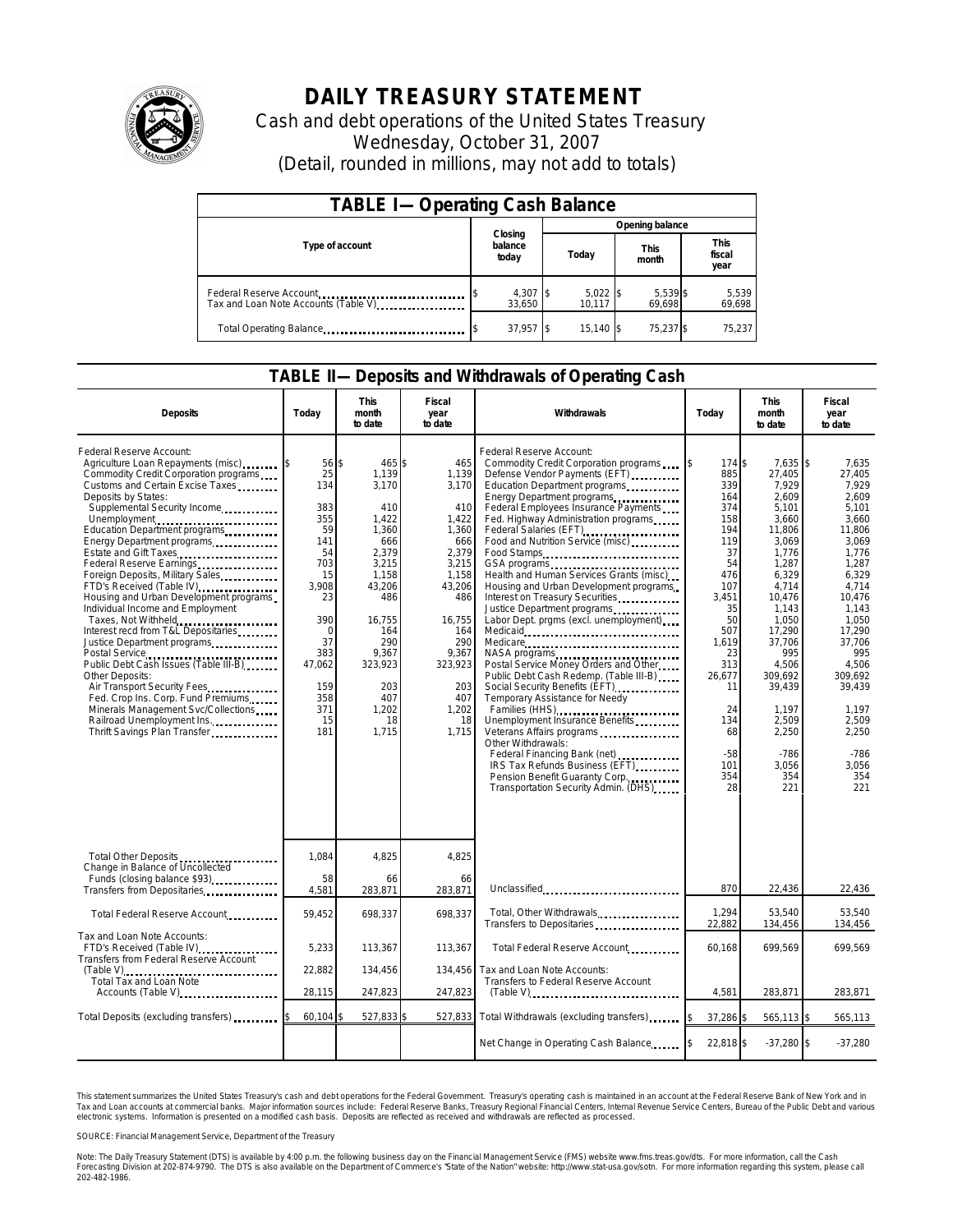

## **DAILY TREASURY STATEMENT**

Cash and debt operations of the United States Treasury Wednesday, October 31, 2007 (Detail, rounded in millions, may not add to totals)

| <b>TABLE I-Operating Cash Balance</b>                           |                             |                      |                      |                               |  |  |  |
|-----------------------------------------------------------------|-----------------------------|----------------------|----------------------|-------------------------------|--|--|--|
|                                                                 |                             | Opening balance      |                      |                               |  |  |  |
| Type of account                                                 | Closing<br>balance<br>today | Today                | <b>This</b><br>month | <b>This</b><br>fiscal<br>year |  |  |  |
| Federal Reserve Account<br>Tax and Loan Note Accounts (Table V) | 4,307 \$<br>33.650          | $5,022$ \$<br>10.117 | 5,539 \$<br>69.698   | 5,539<br>69,698               |  |  |  |
| Total Operating Balance                                         | $37,957$ \$                 | 15.140 \$            | 75.237 \$            | 75.237                        |  |  |  |

## **TABLE II—Deposits and Withdrawals of Operating Cash**

| <b>Deposits</b>                                                                                                                                                                                                                                                                                                                                                                                                                                                                                                                                                                                                                                                                                                                                                                                                          | Todav                                                                                                                                                       | This<br>month<br>to date                                                                                                                                                                    | Fiscal<br>year<br>to date                                                                                                                                                           | Withdrawals                                                                                                                                                                                                                                                                                                                                                                                                                                                                                                                                                                                                                                                                                                                                                                                                                                                                                                                                                                                 | Today                                                                                                                                                                                               | This<br>month<br>to date                                                                                                                                                                                                                                       | Fiscal<br>year<br>to date                                                                                                                                                                                                                                   |
|--------------------------------------------------------------------------------------------------------------------------------------------------------------------------------------------------------------------------------------------------------------------------------------------------------------------------------------------------------------------------------------------------------------------------------------------------------------------------------------------------------------------------------------------------------------------------------------------------------------------------------------------------------------------------------------------------------------------------------------------------------------------------------------------------------------------------|-------------------------------------------------------------------------------------------------------------------------------------------------------------|---------------------------------------------------------------------------------------------------------------------------------------------------------------------------------------------|-------------------------------------------------------------------------------------------------------------------------------------------------------------------------------------|---------------------------------------------------------------------------------------------------------------------------------------------------------------------------------------------------------------------------------------------------------------------------------------------------------------------------------------------------------------------------------------------------------------------------------------------------------------------------------------------------------------------------------------------------------------------------------------------------------------------------------------------------------------------------------------------------------------------------------------------------------------------------------------------------------------------------------------------------------------------------------------------------------------------------------------------------------------------------------------------|-----------------------------------------------------------------------------------------------------------------------------------------------------------------------------------------------------|----------------------------------------------------------------------------------------------------------------------------------------------------------------------------------------------------------------------------------------------------------------|-------------------------------------------------------------------------------------------------------------------------------------------------------------------------------------------------------------------------------------------------------------|
| Federal Reserve Account:<br>Agriculture Loan Repayments (misc)<br>Commodity Credit Corporation programs<br>Customs and Certain Excise Taxes<br>Deposits by States:<br>Supplemental Security Income<br>Unemployment<br>Education Department programs<br>Energy Department programs<br>Estate and Gift Taxes<br>Federal Reserve Earnings<br>Foreign Deposits, Military Sales<br>FTD's Received (Table IV)<br>Housing and Urban Development programs<br>Individual Income and Employment<br>Taxes, Not Withheld<br>Interest recd from T&L Depositaries<br>Justice Department programs<br>Public Debt Cash Issues (Table III-B)<br>Other Deposits:<br>Air Transport Security Fees<br>Fed. Crop Ins. Corp. Fund Premiums<br>Minerals Management Svc/Collections<br>Railroad Unemployment Ins.<br>Thrift Savings Plan Transfer | 56<br>25<br>134<br>383<br>355<br>59<br>141<br>54<br>703<br>15<br>3.908<br>23<br>390<br>$\mathbf 0$<br>37<br>383<br>47.062<br>159<br>358<br>371<br>15<br>181 | \$<br>465\$<br>1.139<br>3.170<br>410<br>1.422<br>1.360<br>666<br>2,379<br>3,215<br>1.158<br>43,206<br>486<br>16.755<br>164<br>290<br>9.367<br>323,923<br>203<br>407<br>1,202<br>18<br>1,715 | 465<br>1,139<br>3.170<br>410<br>1.422<br>1.360<br>666<br>2,379<br>3,215<br>1.158<br>43,206<br>486<br>16,755<br>164<br>290<br>9.367<br>323,923<br>203<br>407<br>1,202<br>18<br>1.715 | Federal Reserve Account:<br>Commodity Credit Corporation programs<br>Defense Vendor Payments (EFT)<br>Education Department programs<br>Energy Department programs<br>Federal Employees Insurance Payments<br>Fed. Highway Administration programs<br>Federal Salaries (EFT)<br>Food and Nutrition Service (misc)<br>Food Stamps<br>GSA programs<br>Health and Human Services Grants (misc)<br>Housing and Urban Development programs<br>Interest on Treasury Securities<br>Justice Department programs<br>Labor Dept. prgms (excl. unemployment)<br>Medicare<br>NASA programs<br>Postal Service Money Orders and Other<br>Public Debt Cash Redemp. (Table III-B)<br>Social Security Benefits (EFT)<br>Temporary Assistance for Needy<br>Families (HHS)<br>Unemployment Insurance Benefits<br>Veterans Affairs programs<br>Other Withdrawals:<br>Federal Financing Bank (net)<br><br>IRS Tax Refunds Business (EFT)<br>Pension Benefit Guaranty Corp<br>Transportation Security Admin. (DHS) | 174 \$<br>885<br>339<br>164<br>374<br>158<br>194<br>119<br>37<br>54<br>476<br>107<br>3.451<br>35<br>50<br>507<br>1,619<br>23<br>313<br>26,677<br>11<br>24<br>134<br>68<br>$-58$<br>101<br>354<br>28 | 7,635 \$<br>27.405<br>7,929<br>2,609<br>5.101<br>3,660<br>11.806<br>3,069<br>1,776<br>1,287<br>6.329<br>4.714<br>10.476<br>1.143<br>1.050<br>17,290<br>37.706<br>995<br>4.506<br>309.692<br>39,439<br>1,197<br>2,509<br>2,250<br>$-786$<br>3,056<br>354<br>221 | 7,635<br>27.405<br>7.929<br>2.609<br>5.101<br>3.660<br>11.806<br>3.069<br>1.776<br>1,287<br>6.329<br>4.714<br>10.476<br>1.143<br>1.050<br>17.290<br>37.706<br>995<br>4.506<br>309.692<br>39.439<br>1,197<br>2.509<br>2,250<br>$-786$<br>3,056<br>354<br>221 |
| Total Other Deposits<br>Change in Balance of Uncollected<br>Funds (closing balance \$93)                                                                                                                                                                                                                                                                                                                                                                                                                                                                                                                                                                                                                                                                                                                                 | 1,084<br>58                                                                                                                                                 | 4,825<br>66                                                                                                                                                                                 | 4,825<br>66                                                                                                                                                                         |                                                                                                                                                                                                                                                                                                                                                                                                                                                                                                                                                                                                                                                                                                                                                                                                                                                                                                                                                                                             |                                                                                                                                                                                                     |                                                                                                                                                                                                                                                                |                                                                                                                                                                                                                                                             |
| Transfers from Depositaries                                                                                                                                                                                                                                                                                                                                                                                                                                                                                                                                                                                                                                                                                                                                                                                              | 4,581                                                                                                                                                       | 283,871                                                                                                                                                                                     | 283,871                                                                                                                                                                             | Unclassified                                                                                                                                                                                                                                                                                                                                                                                                                                                                                                                                                                                                                                                                                                                                                                                                                                                                                                                                                                                | 870                                                                                                                                                                                                 | 22,436                                                                                                                                                                                                                                                         | 22,436                                                                                                                                                                                                                                                      |
| Total Federal Reserve Account                                                                                                                                                                                                                                                                                                                                                                                                                                                                                                                                                                                                                                                                                                                                                                                            | 59,452                                                                                                                                                      | 698,337                                                                                                                                                                                     | 698,337                                                                                                                                                                             | Total, Other Withdrawals<br>Transfers to Depositaries                                                                                                                                                                                                                                                                                                                                                                                                                                                                                                                                                                                                                                                                                                                                                                                                                                                                                                                                       | 1,294<br>22,882                                                                                                                                                                                     | 53,540<br>134,456                                                                                                                                                                                                                                              | 53,540<br>134,456                                                                                                                                                                                                                                           |
| Tax and Loan Note Accounts:<br>FTD's Received (Table IV)<br>Transfers from Federal Reserve Account                                                                                                                                                                                                                                                                                                                                                                                                                                                                                                                                                                                                                                                                                                                       | 5,233                                                                                                                                                       | 113,367                                                                                                                                                                                     | 113,367                                                                                                                                                                             | Total Federal Reserve Account                                                                                                                                                                                                                                                                                                                                                                                                                                                                                                                                                                                                                                                                                                                                                                                                                                                                                                                                                               | 60,168                                                                                                                                                                                              | 699,569                                                                                                                                                                                                                                                        | 699,569                                                                                                                                                                                                                                                     |
| Total Tax and Loan Note                                                                                                                                                                                                                                                                                                                                                                                                                                                                                                                                                                                                                                                                                                                                                                                                  | 22,882<br>28,115                                                                                                                                            | 134,456<br>247,823                                                                                                                                                                          | 134,456<br>247,823                                                                                                                                                                  | Tax and Loan Note Accounts:<br>Transfers to Federal Reserve Account<br>$(Table V)$                                                                                                                                                                                                                                                                                                                                                                                                                                                                                                                                                                                                                                                                                                                                                                                                                                                                                                          | 4,581                                                                                                                                                                                               | 283,871                                                                                                                                                                                                                                                        | 283,871                                                                                                                                                                                                                                                     |
| Accounts (Table V)                                                                                                                                                                                                                                                                                                                                                                                                                                                                                                                                                                                                                                                                                                                                                                                                       |                                                                                                                                                             |                                                                                                                                                                                             |                                                                                                                                                                                     |                                                                                                                                                                                                                                                                                                                                                                                                                                                                                                                                                                                                                                                                                                                                                                                                                                                                                                                                                                                             |                                                                                                                                                                                                     |                                                                                                                                                                                                                                                                |                                                                                                                                                                                                                                                             |
| Total Deposits (excluding transfers)                                                                                                                                                                                                                                                                                                                                                                                                                                                                                                                                                                                                                                                                                                                                                                                     | 60,104                                                                                                                                                      | 527,833 \$                                                                                                                                                                                  | 527,833                                                                                                                                                                             | Total Withdrawals (excluding transfers)                                                                                                                                                                                                                                                                                                                                                                                                                                                                                                                                                                                                                                                                                                                                                                                                                                                                                                                                                     | 37,286 \$                                                                                                                                                                                           | 565,113 \$                                                                                                                                                                                                                                                     | 565,113                                                                                                                                                                                                                                                     |
|                                                                                                                                                                                                                                                                                                                                                                                                                                                                                                                                                                                                                                                                                                                                                                                                                          |                                                                                                                                                             |                                                                                                                                                                                             |                                                                                                                                                                                     | Net Change in Operating Cash Balance                                                                                                                                                                                                                                                                                                                                                                                                                                                                                                                                                                                                                                                                                                                                                                                                                                                                                                                                                        | 22,818 \$                                                                                                                                                                                           | $-37,280$ \$                                                                                                                                                                                                                                                   | $-37,280$                                                                                                                                                                                                                                                   |

This statement summarizes the United States Treasury's cash and debt operations for the Federal Government. Treasury's operating cash is maintained<br>Tax and Loan accounts at commercial banks. Major information sources inclu narizes the United States Treasury's cash and debt operations for the Federal Government. Treasury's operating cash is maintained in an account at the Federal Reserve Bank of New York and in<br>ints at commercial banks. Major

SOURCE: Financial Management Service, Department of the Treasury

Note: The Daily Treasury Statement (DTS) is available by 4:00 p.m. the following business day on the Financial Management Service (FMS) website www.fms.treas.gov/dts. For more information, call the Cash<br>Forecasting Divisio 202-482-1986.